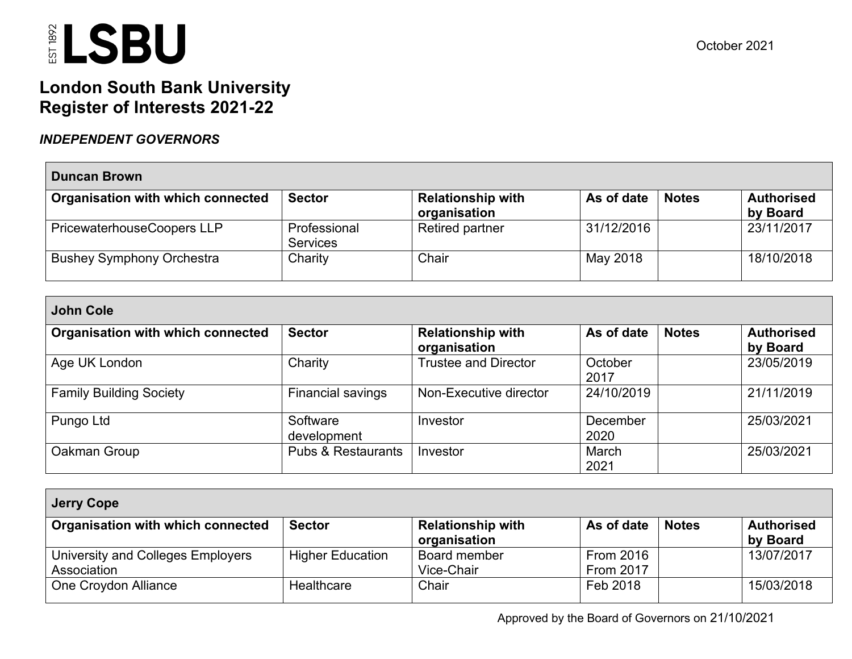### **London South Bank University Register of Interests 2021-22**

### *INDEPENDENT GOVERNORS*

| <b>Duncan Brown</b>               |                                 |                                          |            |              |                               |  |  |  |
|-----------------------------------|---------------------------------|------------------------------------------|------------|--------------|-------------------------------|--|--|--|
| Organisation with which connected | <b>Sector</b>                   | <b>Relationship with</b><br>organisation | As of date | <b>Notes</b> | <b>Authorised</b><br>by Board |  |  |  |
| PricewaterhouseCoopers LLP        | Professional<br><b>Services</b> | <b>Retired partner</b>                   | 31/12/2016 |              | 23/11/2017                    |  |  |  |
| <b>Bushey Symphony Orchestra</b>  | Charity                         | Chair                                    | May 2018   |              | 18/10/2018                    |  |  |  |

| <b>John Cole</b>                  |                               |                                          |                  |              |                               |  |  |  |  |
|-----------------------------------|-------------------------------|------------------------------------------|------------------|--------------|-------------------------------|--|--|--|--|
| Organisation with which connected | <b>Sector</b>                 | <b>Relationship with</b><br>organisation | As of date       | <b>Notes</b> | <b>Authorised</b><br>by Board |  |  |  |  |
| Age UK London                     | Charity                       | <b>Trustee and Director</b>              | October<br>2017  |              | 23/05/2019                    |  |  |  |  |
| <b>Family Building Society</b>    | Financial savings             | Non-Executive director                   | 24/10/2019       |              | 21/11/2019                    |  |  |  |  |
| Pungo Ltd                         | Software<br>development       | Investor                                 | December<br>2020 |              | 25/03/2021                    |  |  |  |  |
| Oakman Group                      | <b>Pubs &amp; Restaurants</b> | Investor                                 | March<br>2021    |              | 25/03/2021                    |  |  |  |  |

| <b>Jerry Cope</b>                                |                         |                                          |                                      |              |                               |  |  |  |
|--------------------------------------------------|-------------------------|------------------------------------------|--------------------------------------|--------------|-------------------------------|--|--|--|
| Organisation with which connected                | <b>Sector</b>           | <b>Relationship with</b><br>organisation | As of date                           | <b>Notes</b> | <b>Authorised</b><br>by Board |  |  |  |
| University and Colleges Employers<br>Association | <b>Higher Education</b> | Board member<br>Vice-Chair               | <b>From 2016</b><br><b>From 2017</b> |              | 13/07/2017                    |  |  |  |
| One Croydon Alliance                             | Healthcare              | Chair                                    | Feb 2018                             |              | 15/03/2018                    |  |  |  |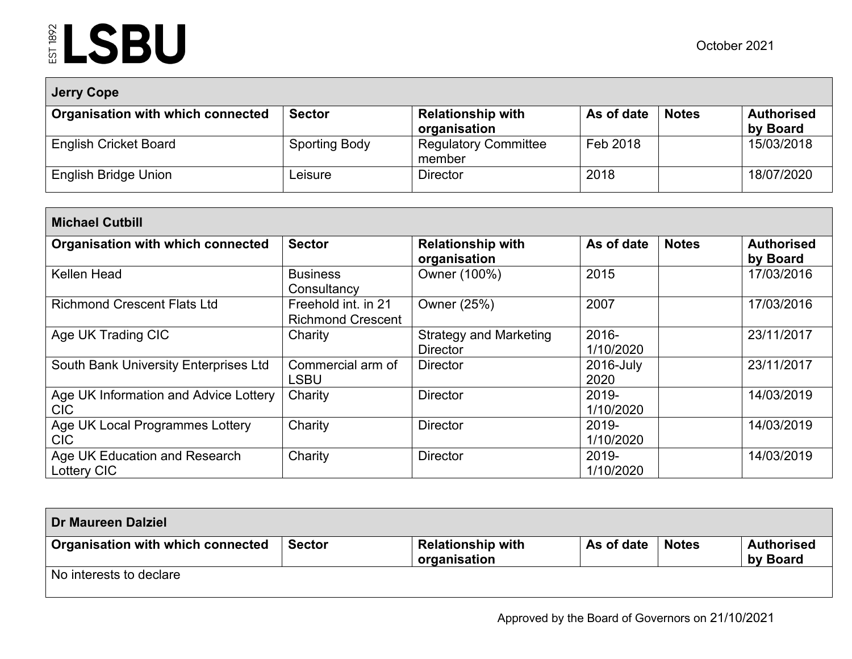| <b>Jerry Cope</b>                 |               |                                          |            |              |                               |  |  |  |
|-----------------------------------|---------------|------------------------------------------|------------|--------------|-------------------------------|--|--|--|
| Organisation with which connected | <b>Sector</b> | <b>Relationship with</b><br>organisation | As of date | <b>Notes</b> | <b>Authorised</b><br>by Board |  |  |  |
| <b>English Cricket Board</b>      | Sporting Body | <b>Regulatory Committee</b><br>member    | Feb 2018   |              | 15/03/2018                    |  |  |  |
| <b>English Bridge Union</b>       | _eisure       | <b>Director</b>                          | 2018       |              | 18/07/2020                    |  |  |  |

| <b>Michael Cutbill</b>                              |                                                 |                                                  |                    |              |                               |  |  |  |
|-----------------------------------------------------|-------------------------------------------------|--------------------------------------------------|--------------------|--------------|-------------------------------|--|--|--|
| <b>Organisation with which connected</b>            | <b>Sector</b>                                   | <b>Relationship with</b><br>organisation         | As of date         | <b>Notes</b> | <b>Authorised</b><br>by Board |  |  |  |
| Kellen Head                                         | <b>Business</b><br>Consultancy                  | Owner (100%)                                     | 2015               |              | 17/03/2016                    |  |  |  |
| <b>Richmond Crescent Flats Ltd</b>                  | Freehold int. in 21<br><b>Richmond Crescent</b> | Owner (25%)                                      | 2007               |              | 17/03/2016                    |  |  |  |
| Age UK Trading CIC                                  | Charity                                         | <b>Strategy and Marketing</b><br><b>Director</b> | 2016-<br>1/10/2020 |              | 23/11/2017                    |  |  |  |
| South Bank University Enterprises Ltd               | Commercial arm of<br><b>LSBU</b>                | <b>Director</b>                                  | 2016-July<br>2020  |              | 23/11/2017                    |  |  |  |
| Age UK Information and Advice Lottery<br><b>CIC</b> | Charity                                         | <b>Director</b>                                  | 2019-<br>1/10/2020 |              | 14/03/2019                    |  |  |  |
| Age UK Local Programmes Lottery<br><b>CIC</b>       | Charity                                         | <b>Director</b>                                  | 2019-<br>1/10/2020 |              | 14/03/2019                    |  |  |  |
| Age UK Education and Research<br>Lottery CIC        | Charity                                         | <b>Director</b>                                  | 2019-<br>1/10/2020 |              | 14/03/2019                    |  |  |  |

| <b>Dr Maureen Dalziel</b>         |               |                                          |            |              |                               |
|-----------------------------------|---------------|------------------------------------------|------------|--------------|-------------------------------|
| Organisation with which connected | <b>Sector</b> | <b>Relationship with</b><br>organisation | As of date | <b>Notes</b> | <b>Authorised</b><br>by Board |
| No interests to declare           |               |                                          |            |              |                               |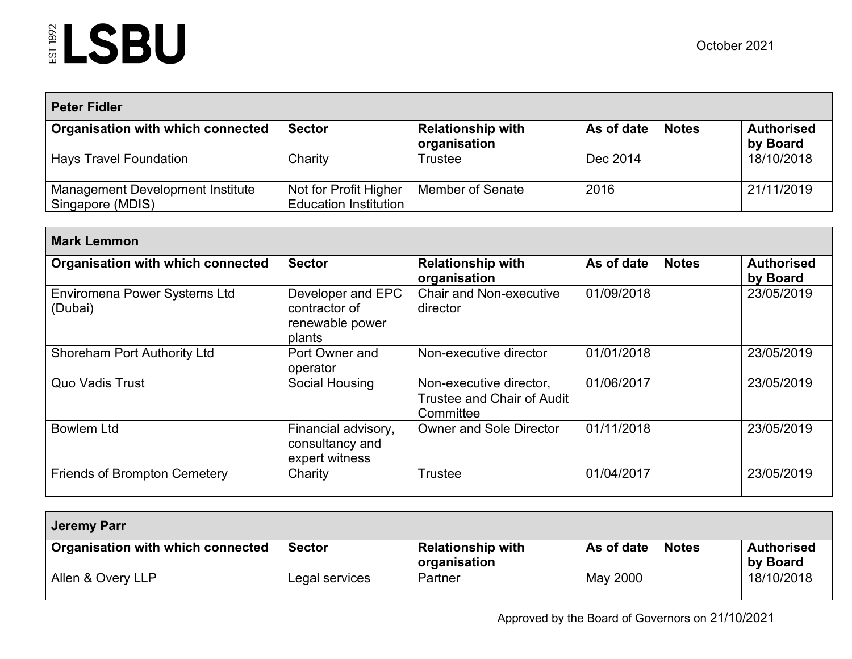| <b>Peter Fidler</b>                                  |                                                       |                                          |            |              |                               |  |  |  |
|------------------------------------------------------|-------------------------------------------------------|------------------------------------------|------------|--------------|-------------------------------|--|--|--|
| Organisation with which connected                    | <b>Sector</b>                                         | <b>Relationship with</b><br>organisation | As of date | <b>Notes</b> | <b>Authorised</b><br>by Board |  |  |  |
| Hays Travel Foundation                               | Charity                                               | <b>Trustee</b>                           | Dec 2014   |              | 18/10/2018                    |  |  |  |
| Management Development Institute<br>Singapore (MDIS) | Not for Profit Higher<br><b>Education Institution</b> | <b>Member of Senate</b>                  | 2016       |              | 21/11/2019                    |  |  |  |

| <b>Mark Lemmon</b>                      |                                                                 |                                                                           |            |              |                               |  |  |  |  |
|-----------------------------------------|-----------------------------------------------------------------|---------------------------------------------------------------------------|------------|--------------|-------------------------------|--|--|--|--|
| Organisation with which connected       | <b>Sector</b>                                                   | <b>Relationship with</b><br>organisation                                  | As of date | <b>Notes</b> | <b>Authorised</b><br>by Board |  |  |  |  |
| Enviromena Power Systems Ltd<br>(Dubai) | Developer and EPC<br>contractor of<br>renewable power<br>plants | <b>Chair and Non-executive</b><br>director                                | 01/09/2018 |              | 23/05/2019                    |  |  |  |  |
| <b>Shoreham Port Authority Ltd</b>      | Port Owner and<br>operator                                      | Non-executive director                                                    | 01/01/2018 |              | 23/05/2019                    |  |  |  |  |
| <b>Quo Vadis Trust</b>                  | Social Housing                                                  | Non-executive director,<br><b>Trustee and Chair of Audit</b><br>Committee | 01/06/2017 |              | 23/05/2019                    |  |  |  |  |
| <b>Bowlem Ltd</b>                       | Financial advisory,<br>consultancy and<br>expert witness        | <b>Owner and Sole Director</b>                                            | 01/11/2018 |              | 23/05/2019                    |  |  |  |  |
| <b>Friends of Brompton Cemetery</b>     | Charity                                                         | <b>Trustee</b>                                                            | 01/04/2017 |              | 23/05/2019                    |  |  |  |  |

| Jeremy Parr                       |                |                                          |            |              |                               |
|-----------------------------------|----------------|------------------------------------------|------------|--------------|-------------------------------|
| Organisation with which connected | <b>Sector</b>  | <b>Relationship with</b><br>organisation | As of date | <b>Notes</b> | <b>Authorised</b><br>by Board |
| Allen & Overy LLP                 | Legal services | Partner                                  | May 2000   |              | 18/10/2018                    |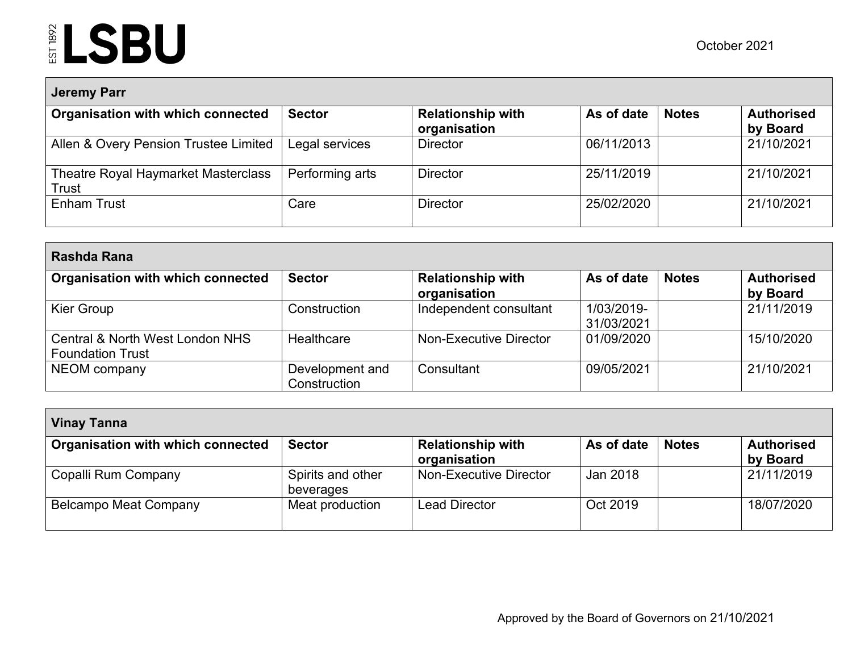Г

| <b>Jeremy Parr</b>                           |                 |                                          |            |              |                               |  |  |  |
|----------------------------------------------|-----------------|------------------------------------------|------------|--------------|-------------------------------|--|--|--|
| Organisation with which connected            | <b>Sector</b>   | <b>Relationship with</b><br>organisation | As of date | <b>Notes</b> | <b>Authorised</b><br>by Board |  |  |  |
| Allen & Overy Pension Trustee Limited        | Legal services  | <b>Director</b>                          | 06/11/2013 |              | 21/10/2021                    |  |  |  |
| Theatre Royal Haymarket Masterclass<br>Trust | Performing arts | <b>Director</b>                          | 25/11/2019 |              | 21/10/2021                    |  |  |  |
| <b>Enham Trust</b>                           | Care            | <b>Director</b>                          | 25/02/2020 |              | 21/10/2021                    |  |  |  |

| Rashda Rana                                                |                                 |                                          |                          |              |                               |  |  |  |  |
|------------------------------------------------------------|---------------------------------|------------------------------------------|--------------------------|--------------|-------------------------------|--|--|--|--|
| Organisation with which connected                          | <b>Sector</b>                   | <b>Relationship with</b><br>organisation | As of date               | <b>Notes</b> | <b>Authorised</b><br>by Board |  |  |  |  |
| Kier Group                                                 | Construction                    | Independent consultant                   | 1/03/2019-<br>31/03/2021 |              | 21/11/2019                    |  |  |  |  |
| Central & North West London NHS<br><b>Foundation Trust</b> | <b>Healthcare</b>               | Non-Executive Director                   | 01/09/2020               |              | 15/10/2020                    |  |  |  |  |
| NEOM company                                               | Development and<br>Construction | Consultant                               | 09/05/2021               |              | 21/10/2021                    |  |  |  |  |

| <b>Vinay Tanna</b>                |                                |                                          |            |              |                               |  |  |  |
|-----------------------------------|--------------------------------|------------------------------------------|------------|--------------|-------------------------------|--|--|--|
| Organisation with which connected | <b>Sector</b>                  | <b>Relationship with</b><br>organisation | As of date | <b>Notes</b> | <b>Authorised</b><br>by Board |  |  |  |
| Copalli Rum Company               | Spirits and other<br>beverages | Non-Executive Director                   | Jan 2018   |              | 21/11/2019                    |  |  |  |
| <b>Belcampo Meat Company</b>      | Meat production                | <b>Lead Director</b>                     | Oct 2019   |              | 18/07/2020                    |  |  |  |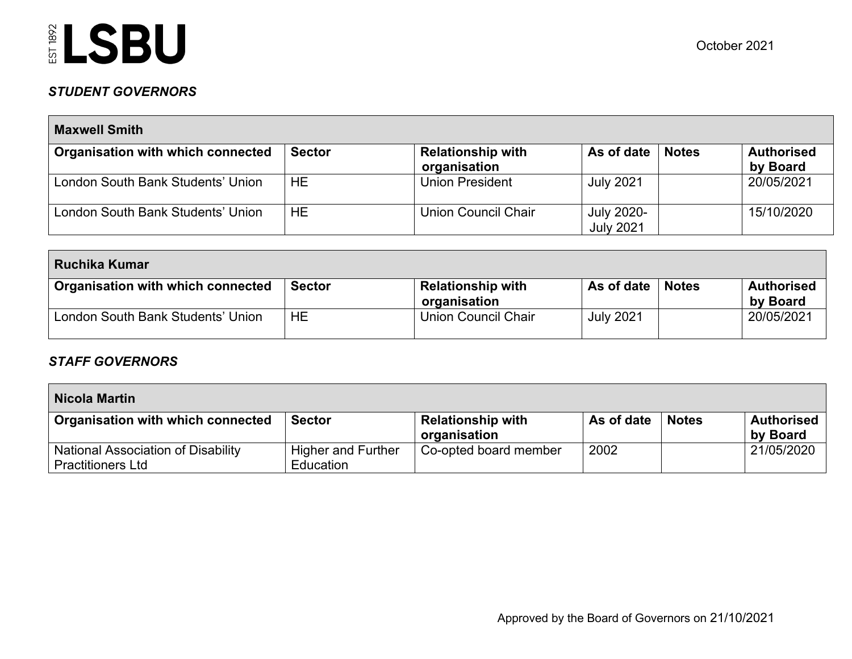### *STUDENT GOVERNORS*

| <b>Maxwell Smith</b>              |               |                                          |                                |              |                               |  |  |  |
|-----------------------------------|---------------|------------------------------------------|--------------------------------|--------------|-------------------------------|--|--|--|
| Organisation with which connected | <b>Sector</b> | <b>Relationship with</b><br>organisation | As of date                     | <b>Notes</b> | <b>Authorised</b><br>by Board |  |  |  |
| London South Bank Students' Union | <b>HE</b>     | <b>Union President</b>                   | <b>July 2021</b>               |              | 20/05/2021                    |  |  |  |
| London South Bank Students' Union | HЕ            | Union Council Chair                      | July 2020-<br><b>July 2021</b> |              | 15/10/2020                    |  |  |  |

| Ruchika Kumar                     |               |                                          |                  |              |                               |  |  |
|-----------------------------------|---------------|------------------------------------------|------------------|--------------|-------------------------------|--|--|
| Organisation with which connected | <b>Sector</b> | <b>Relationship with</b><br>organisation | As of date       | <b>Notes</b> | <b>Authorised</b><br>by Board |  |  |
| London South Bank Students' Union | HE            | Union Council Chair                      | <b>July 2021</b> |              | 20/05/2021                    |  |  |

#### *STAFF GOVERNORS*

| <b>Nicola Martin</b>                                           |                                               |                                          |            |              |                               |  |  |
|----------------------------------------------------------------|-----------------------------------------------|------------------------------------------|------------|--------------|-------------------------------|--|--|
| Organisation with which connected                              | <b>Sector</b>                                 | <b>Relationship with</b><br>organisation | As of date | <b>Notes</b> | <b>Authorised</b><br>by Board |  |  |
| National Association of Disability<br><b>Practitioners Ltd</b> | <b>Higher and Further</b><br><b>Education</b> | Co-opted board member                    | 2002       |              | 21/05/2020                    |  |  |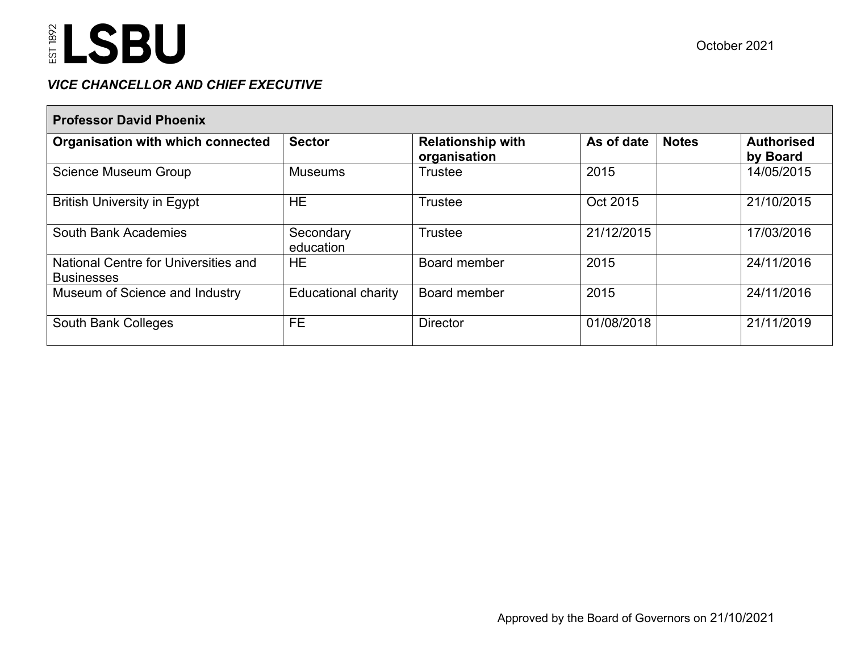### *VICE CHANCELLOR AND CHIEF EXECUTIVE*

| <b>Professor David Phoenix</b>                            |                            |                                          |                            |                               |  |  |  |  |
|-----------------------------------------------------------|----------------------------|------------------------------------------|----------------------------|-------------------------------|--|--|--|--|
| Organisation with which connected                         | <b>Sector</b>              | <b>Relationship with</b><br>organisation | As of date<br><b>Notes</b> | <b>Authorised</b><br>by Board |  |  |  |  |
| <b>Science Museum Group</b>                               | <b>Museums</b>             | <b>Trustee</b>                           | 2015                       | 14/05/2015                    |  |  |  |  |
| <b>British University in Egypt</b>                        | HE.                        | <b>Trustee</b>                           | Oct 2015                   | 21/10/2015                    |  |  |  |  |
| <b>South Bank Academies</b>                               | Secondary<br>education     | <b>Trustee</b>                           | 21/12/2015                 | 17/03/2016                    |  |  |  |  |
| National Centre for Universities and<br><b>Businesses</b> | HE.                        | Board member                             | 2015                       | 24/11/2016                    |  |  |  |  |
| Museum of Science and Industry                            | <b>Educational charity</b> | Board member                             | 2015                       | 24/11/2016                    |  |  |  |  |
| <b>South Bank Colleges</b>                                | FE.                        | <b>Director</b>                          | 01/08/2018                 | 21/11/2019                    |  |  |  |  |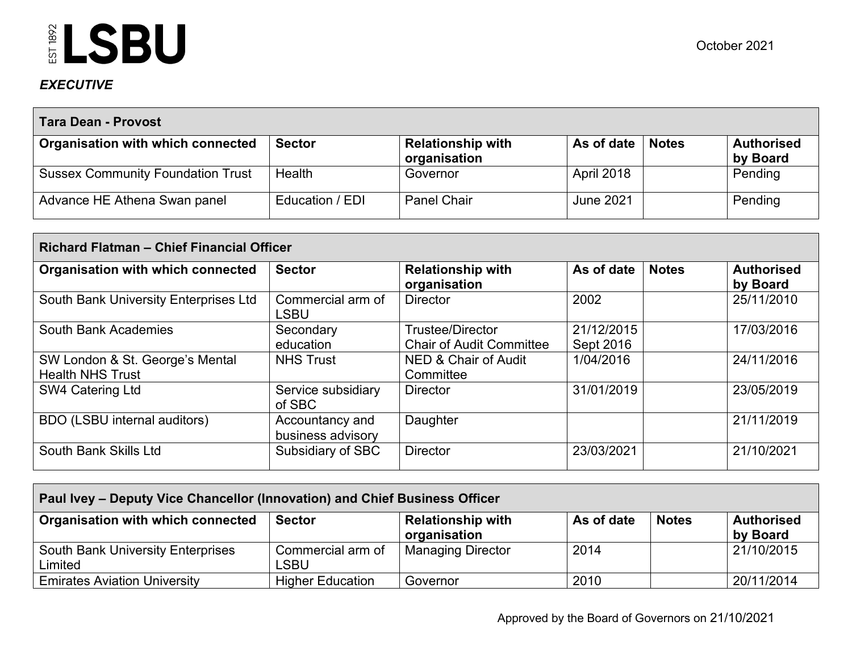### *EXECUTIVE*

| <b>Tara Dean - Provost</b>               |                 |                                          |                  |              |                               |  |  |  |
|------------------------------------------|-----------------|------------------------------------------|------------------|--------------|-------------------------------|--|--|--|
| Organisation with which connected        | <b>Sector</b>   | <b>Relationship with</b><br>organisation | As of date       | <b>Notes</b> | <b>Authorised</b><br>by Board |  |  |  |
| <b>Sussex Community Foundation Trust</b> | Health          | Governor                                 | April 2018       |              | Pending                       |  |  |  |
| Advance HE Athena Swan panel             | Education / EDI | <b>Panel Chair</b>                       | <b>June 2021</b> |              | Pending                       |  |  |  |

| Richard Flatman - Chief Financial Officer                  |                                      |                                                            |                         |              |                               |  |  |  |
|------------------------------------------------------------|--------------------------------------|------------------------------------------------------------|-------------------------|--------------|-------------------------------|--|--|--|
| <b>Organisation with which connected</b>                   | <b>Sector</b>                        | <b>Relationship with</b><br>organisation                   | As of date              | <b>Notes</b> | <b>Authorised</b><br>by Board |  |  |  |
| South Bank University Enterprises Ltd                      | Commercial arm of<br><b>LSBU</b>     | <b>Director</b>                                            | 2002                    |              | 25/11/2010                    |  |  |  |
| <b>South Bank Academies</b>                                | Secondary<br>education               | <b>Trustee/Director</b><br><b>Chair of Audit Committee</b> | 21/12/2015<br>Sept 2016 |              | 17/03/2016                    |  |  |  |
| SW London & St. George's Mental<br><b>Health NHS Trust</b> | <b>NHS Trust</b>                     | NED & Chair of Audit<br>Committee                          | 1/04/2016               |              | 24/11/2016                    |  |  |  |
| SW4 Catering Ltd                                           | Service subsidiary<br>of SBC         | <b>Director</b>                                            | 31/01/2019              |              | 23/05/2019                    |  |  |  |
| BDO (LSBU internal auditors)                               | Accountancy and<br>business advisory | Daughter                                                   |                         |              | 21/11/2019                    |  |  |  |
| South Bank Skills Ltd                                      | Subsidiary of SBC                    | <b>Director</b>                                            | 23/03/2021              |              | 21/10/2021                    |  |  |  |

| Paul Ivey – Deputy Vice Chancellor (Innovation) and Chief Business Officer |                           |                                          |            |              |                               |  |  |  |
|----------------------------------------------------------------------------|---------------------------|------------------------------------------|------------|--------------|-------------------------------|--|--|--|
| <b>Organisation with which connected</b>                                   | <b>Sector</b>             | <b>Relationship with</b><br>organisation | As of date | <b>Notes</b> | <b>Authorised</b><br>by Board |  |  |  |
| South Bank University Enterprises<br>Limited                               | Commercial arm of<br>LSBU | <b>Managing Director</b>                 | 2014       |              | 21/10/2015                    |  |  |  |
| Emirates Aviation University                                               | <b>Higher Education</b>   | Governor                                 | 2010       |              | 20/11/2014                    |  |  |  |

Approved by the Board of Governors on 21/10/2021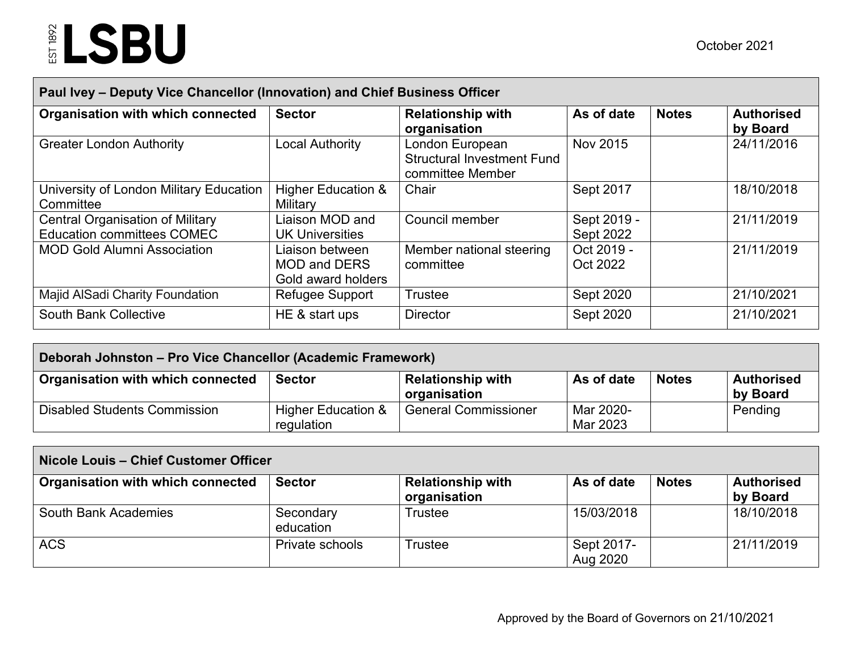| Paul Ivey - Deputy Vice Chancellor (Innovation) and Chief Business Officer   |                                                              |                                                                          |                                 |              |                               |  |  |  |  |
|------------------------------------------------------------------------------|--------------------------------------------------------------|--------------------------------------------------------------------------|---------------------------------|--------------|-------------------------------|--|--|--|--|
| Organisation with which connected                                            | <b>Sector</b>                                                | <b>Relationship with</b><br>organisation                                 | As of date                      | <b>Notes</b> | <b>Authorised</b><br>by Board |  |  |  |  |
| <b>Greater London Authority</b>                                              | <b>Local Authority</b>                                       | London European<br><b>Structural Investment Fund</b><br>committee Member | Nov 2015                        |              | 24/11/2016                    |  |  |  |  |
| University of London Military Education<br>Committee                         | <b>Higher Education &amp;</b><br>Military                    | Chair                                                                    | Sept 2017                       |              | 18/10/2018                    |  |  |  |  |
| <b>Central Organisation of Military</b><br><b>Education committees COMEC</b> | Liaison MOD and<br><b>UK Universities</b>                    | Council member                                                           | Sept 2019 -<br><b>Sept 2022</b> |              | 21/11/2019                    |  |  |  |  |
| <b>MOD Gold Alumni Association</b>                                           | Liaison between<br><b>MOD and DERS</b><br>Gold award holders | Member national steering<br>committee                                    | Oct 2019 -<br>Oct 2022          |              | 21/11/2019                    |  |  |  |  |
| <b>Majid AlSadi Charity Foundation</b>                                       | Refugee Support                                              | Trustee                                                                  | Sept 2020                       |              | 21/10/2021                    |  |  |  |  |
| <b>South Bank Collective</b>                                                 | HE & start ups                                               | <b>Director</b>                                                          | Sept 2020                       |              | 21/10/2021                    |  |  |  |  |

| Deborah Johnston – Pro Vice Chancellor (Academic Framework) |                                  |                                          |                       |              |                               |  |  |
|-------------------------------------------------------------|----------------------------------|------------------------------------------|-----------------------|--------------|-------------------------------|--|--|
| Organisation with which connected                           | <b>Sector</b>                    | <b>Relationship with</b><br>organisation | As of date            | <b>Notes</b> | <b>Authorised</b><br>by Board |  |  |
| <b>Disabled Students Commission</b>                         | Higher Education &<br>regulation | General Commissioner                     | Mar 2020-<br>Mar 2023 |              | Pending                       |  |  |

| Nicole Louis - Chief Customer Officer |                        |                                          |                        |              |                               |  |  |
|---------------------------------------|------------------------|------------------------------------------|------------------------|--------------|-------------------------------|--|--|
| Organisation with which connected     | <b>Sector</b>          | <b>Relationship with</b><br>organisation | As of date             | <b>Notes</b> | <b>Authorised</b><br>by Board |  |  |
| South Bank Academies                  | Secondary<br>education | Trustee                                  | 15/03/2018             |              | 18/10/2018                    |  |  |
| ACS                                   | Private schools        | Trustee                                  | Sept 2017-<br>Aug 2020 |              | 21/11/2019                    |  |  |